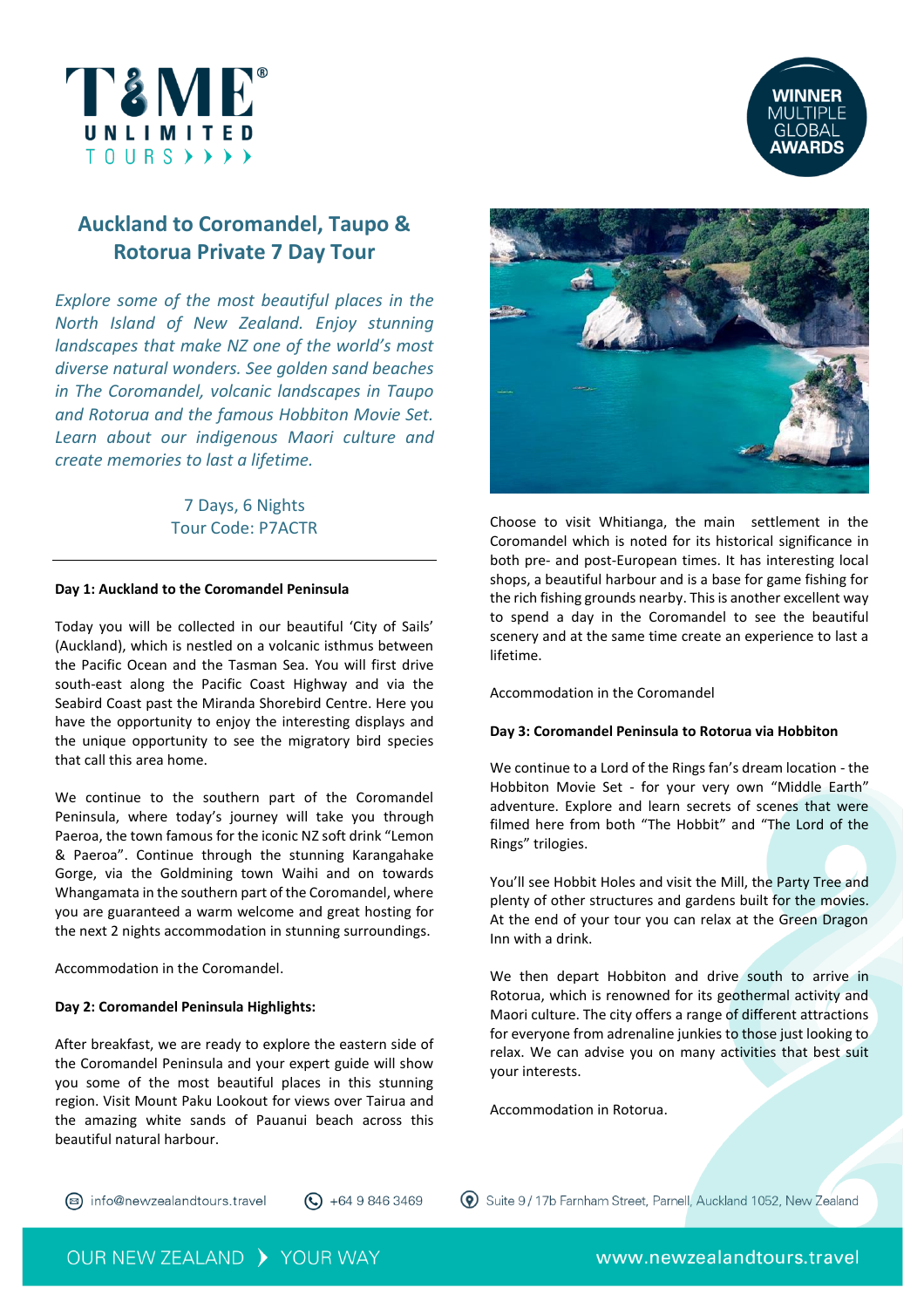



# **Auckland to Coromandel, Taupo & Rotorua Private 7 Day Tour**

*Explore some of the most beautiful places in the North Island of New Zealand. Enjoy stunning landscapes that make NZ one of the world's most diverse natural wonders. See golden sand beaches in The Coromandel, volcanic landscapes in Taupo and Rotorua and the famous Hobbiton Movie Set. Learn about our indigenous Maori culture and create memories to last a lifetime.*

> 7 Days, 6 Nights Tour Code: P7ACTR

# **Day 1: Auckland to the Coromandel Peninsula**

Today you will be collected in our beautiful 'City of Sails' (Auckland), which is nestled on a volcanic isthmus between the Pacific Ocean and the Tasman Sea. You will first drive south-east along the Pacific Coast Highway and via the Seabird Coast past the Miranda Shorebird Centre. Here you have the opportunity to enjoy the interesting displays and the unique opportunity to see the migratory bird species that call this area home.

We continue to the southern part of the Coromandel Peninsula, where today's journey will take you through Paeroa, the town famous for the iconic NZ soft drink "Lemon & Paeroa". Continue through the stunning Karangahake Gorge, via the Goldmining town Waihi and on towards Whangamata in the southern part of the Coromandel, where you are guaranteed a warm welcome and great hosting for the next 2 nights accommodation in stunning surroundings.

Accommodation in the Coromandel.

## **Day 2: Coromandel Peninsula Highlights:**

After breakfast, we are ready to explore the eastern side of the Coromandel Peninsula and your expert guide will show you some of the most beautiful places in this stunning region. Visit Mount Paku Lookout for views over Tairua and the amazing white sands of Pauanui beach across this beautiful natural harbour.



Choose to visit Whitianga, the main settlement in the Coromandel which is noted for its historical significance in both pre- and post-European times. It has interesting local shops, a beautiful harbour and is a base for game fishing for the rich fishing grounds nearby. This is another excellent way to spend a day in the Coromandel to see the beautiful scenery and at the same time create an experience to last a lifetime.

Accommodation in the Coromandel

# **Day 3: Coromandel Peninsula to Rotorua via Hobbiton**

We continue to a Lord of the Rings fan's dream location - the Hobbiton Movie Set - for your very own "Middle Earth" adventure. Explore and learn secrets of scenes that were filmed here from both "The Hobbit" and "The Lord of the Rings" trilogies.

You'll see Hobbit Holes and visit the Mill, the Party Tree and plenty of other structures and gardens built for the movies. At the end of your tour you can relax at the Green Dragon Inn with a drink.

We then depart Hobbiton and drive south to arrive in Rotorua, which is renowned for its geothermal activity and Maori culture. The city offers a range of different attractions for everyone from adrenaline junkies to those just looking to relax. We can advise you on many activities that best suit your interests.

Accommodation in Rotorua.

2 info@newzealandtours.travel

 $\bigodot$  +64 9 846 3469

**W** Suite 9/17b Farnham Street, Parnell, Auckland 1052, New Zealand

OUR NEW ZEALAND > YOUR WAY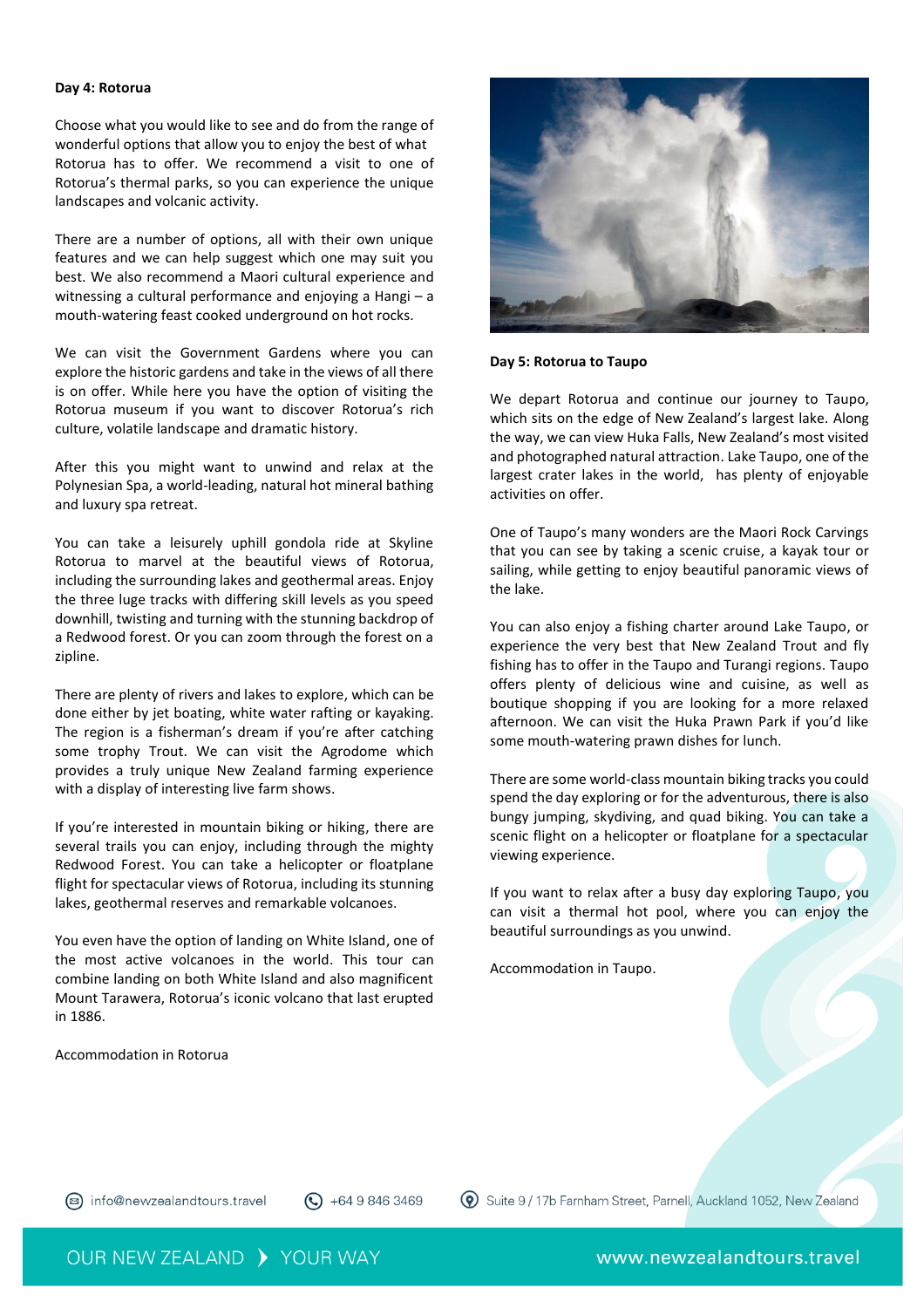#### **Day 4: Rotorua**

Choose what you would like to see and do from the range of wonderful options that allow you to enjoy the best of what Rotorua has to offer. We recommend a visit to one of Rotorua's thermal parks, so you can experience the unique landscapes and volcanic activity.

There are a number of options, all with their own unique features and we can help suggest which one may suit you best. We also recommend a Maori cultural experience and witnessing a cultural performance and enjoying a Hangi – a mouth-watering feast cooked underground on hot rocks.

We can visit the Government Gardens where you can explore the historic gardens and take in the views of all there is on offer. While here you have the option of visiting the Rotorua museum if you want to discover Rotorua's rich culture, volatile landscape and dramatic history.

After this you might want to unwind and relax at the Polynesian Spa, a world-leading, natural hot mineral bathing and luxury spa retreat.

You can take a leisurely uphill gondola ride at Skyline Rotorua to marvel at the beautiful views of Rotorua, including the surrounding lakes and geothermal areas. Enjoy the three luge tracks with differing skill levels as you speed downhill, twisting and turning with the stunning backdrop of a Redwood forest. Or you can zoom through the forest on a zipline.

There are plenty of rivers and lakes to explore, which can be done either by jet boating, white water rafting or kayaking. The region is a fisherman's dream if you're after catching some trophy Trout. We can visit the Agrodome which provides a truly unique New Zealand farming experience with a display of interesting live farm shows.

If you're interested in mountain biking or hiking, there are several trails you can enjoy, including through the mighty Redwood Forest. You can take a helicopter or floatplane flight for spectacular views of Rotorua, including its stunning lakes, geothermal reserves and remarkable volcanoes.

You even have the option of landing on White Island, one of the most active volcanoes in the world. This tour can combine landing on both White Island and also magnificent Mount Tarawera, Rotorua's iconic volcano that last erupted in 1886.

Accommodation in Rotorua



#### **Day 5: Rotorua to Taupo**

We depart Rotorua and continue our journey to Taupo, which sits on the edge of New Zealand's largest lake. Along the way, we can view Huka Falls, New Zealand's most visited and photographed natural attraction. Lake Taupo, one of the largest crater lakes in the world, has plenty of enjoyable activities on offer.

One of Taupo's many wonders are the Maori Rock Carvings that you can see by taking a scenic cruise, a kayak tour or sailing, while getting to enjoy beautiful panoramic views of the lake.

You can also enjoy a fishing charter around Lake Taupo, or experience the very best that New Zealand Trout and fly fishing has to offer in the Taupo and Turangi regions. Taupo offers plenty of delicious wine and cuisine, as well as boutique shopping if you are looking for a more relaxed afternoon. We can visit the Huka Prawn Park if you'd like some mouth-watering prawn dishes for lunch.

There are some world-class mountain biking tracks you could spend the day exploring or for the adventurous, there is also bungy jumping, skydiving, and quad biking. You can take a scenic flight on a helicopter or floatplane for a spectacular viewing experience.

If you want to relax after a busy day exploring Taupo, you can visit a thermal hot pool, where you can enjoy the beautiful surroundings as you unwind.

Accommodation in Taupo.

(a) info@newzealandtours.travel

 $\bigodot$  +64 9 846 3469

**W** Suite 9 / 17b Farnham Street, Parnell, Auckland 1052, New Zealand